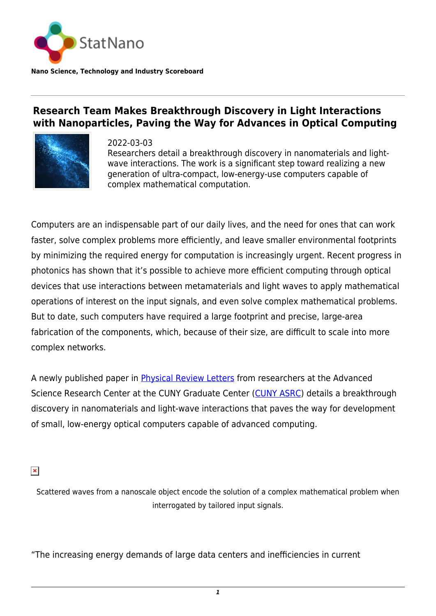

**Research Team Makes Breakthrough Discovery in Light Interactions**

**with Nanoparticles, Paving the Way for Advances in Optical Computing**



2022-03-03 Researchers detail a breakthrough discovery in nanomaterials and lightwave interactions. The work is a significant step toward realizing a new generation of ultra-compact, low-energy-use computers capable of complex mathematical computation.

Computers are an indispensable part of our daily lives, and the need for ones that can work faster, solve complex problems more efficiently, and leave smaller environmental footprints by minimizing the required energy for computation is increasingly urgent. Recent progress in photonics has shown that it's possible to achieve more efficient computing through optical devices that use interactions between metamaterials and light waves to apply mathematical operations of interest on the input signals, and even solve complex mathematical problems. But to date, such computers have required a large footprint and precise, large-area fabrication of the components, which, because of their size, are difficult to scale into more complex networks.

A newly published paper in [Physical Review Letters](https://journals.aps.org/prl/abstract/10.1103/PhysRevLett.128.073201) from researchers at the Advanced Science Research Center at the CUNY Graduate Center [\(CUNY ASRC](https://www.gc.cuny.edu/)) details a breakthrough discovery in nanomaterials and light-wave interactions that paves the way for development of small, low-energy optical computers capable of advanced computing.

 $\pmb{\times}$ 

Scattered waves from a nanoscale object encode the solution of a complex mathematical problem when interrogated by tailored input signals.

"The increasing energy demands of large data centers and inefficiencies in current